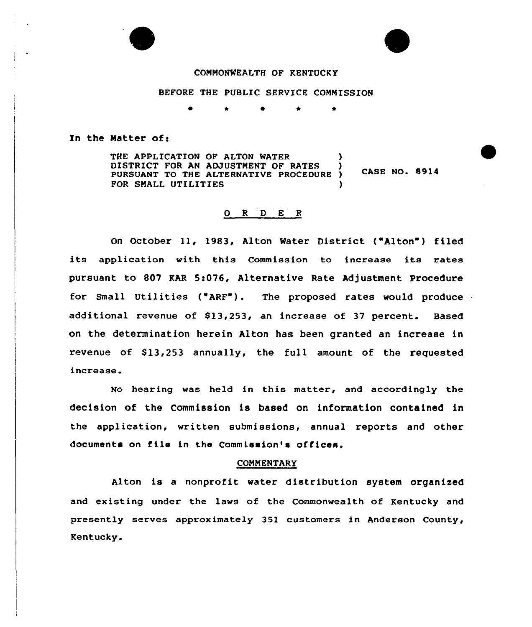## COMMONWEALTH OF KENTUCKY

BEFORE THE PUBLIC SERVICE COMMISSION

#### In the Matter of:

THE APPLICATION OF ALTON WATER DISTRICT FOR AN ADJUSTMENT OF RATES **CASE NO. 8914** PURSUANT TO THE ALTERNATIVE PROCEDURE ) FOR SMALL UTILITIES (1999)

# 0 <sup>R</sup> <sup>D</sup> E <sup>R</sup>

On October 11, 1983, Alton Water District ("Alton") filed its application with this Commission to increase its rates pursuant to 807 KAR 5:076, Alternative Rate Adjustment Procedure for Small Utilities ("ARF"). The proposed rates would produce additional revenue of \$13,253, an increase of 37 percent. Based on the determination herein Alton has been granted an increase in revenue of  $$13,253$  annually, the full amount of the requested increase

No hearing was held in this mattex, and accoxdingly the decision of the Commission is based on information contained in the application, written submissions, annual reports and other documents on f ile in the Commission's of fices.

#### COMMENTARY

Alton is a nonprofit water distribution system organized and existing under the laws of the Commonwealth of Kentucky and presently serves approximately 351 customers in Anderson County, Kentucky.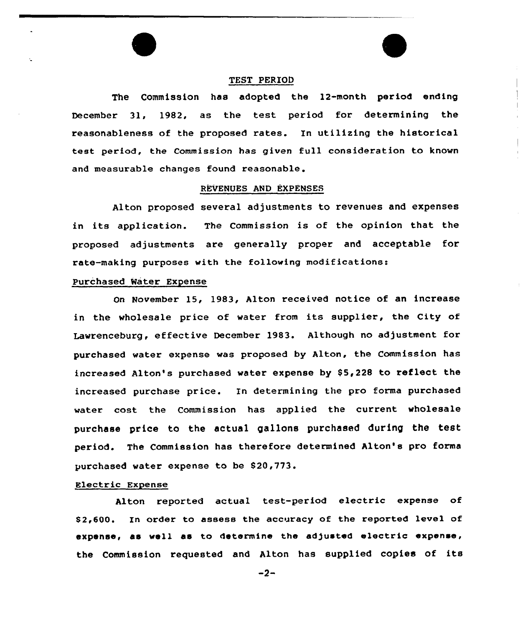#### TEST PERIOD

The Commission has adopted the 12-month period ending December 31, 1982, as the test period for determining the reasonableness of the proposed rates. In utilizing the historical test period, the Commission has given full consideration to known and measurable changes found reasonable.

#### REVENUES AND EXPENSES

Alton proposed several adjustments to revenues and expenses in its application. The Commission is of the opinion that the proposed adjustments are generally proper and acceptable for rate-making purposes with the following modifications:

#### Purchased Water Expense

On November 15, 1983, Alton received notice of an increase in the wholesale price of water from its supplier, the City of Lawrenceburg, effective December 1983. Although no adjustment for purchased water expense was proposed by Alton, the Commission has increased Alton's purchased water expense by \$5,228 to reflect the increased purchase price. In determining the pro forma purchased water cost the Commission has applied the current wholesale purchase price to the actual gallons purchased during the test period. The Commission has therefore determined Alton's pro forma purchased water expense to be \$20,773.

# Electric Expense

Alton reported actual test-period electric expense of S2,600. In order to assess the accuracy of the reported level of expense, ae well ae to determine the adjusted electric expense, the Commission requested and Alton has supplied copies of its

 $-2-$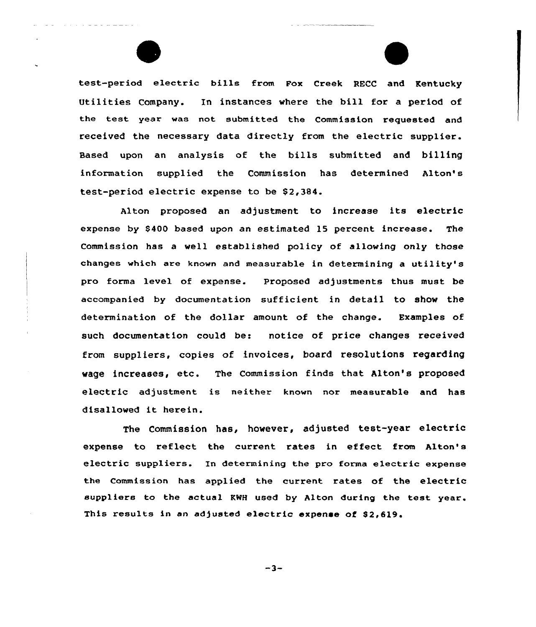

test-period electric bills from Pox Creek RECC and Kentucky Utilities Company. In instances where the bill for a period of the test year was not submitted the Commission requested and received the necessary data directly from the electric supplier. Based upon an analysis of the bills submitted and billing information supplied the Commission has determined Alton's test-period electric expense to be \$2,384.

Alton proposed an adjustment to increase its electric expense by \$400 based upon an estimated 15 percent increase. The Commission has a well established policy of allowing only those changes which ere known and measurable in determining a utility's pro forma level of expense. Proposed adjustments thus must be accompanied by documentation sufficient in detail to show the determination of the dollar amount of the change. Examples of such documentation could be: notice of price changes received from suppliers, copies of invoices, board resolutions regarding wage increases, etc. The Commission finds that Alton's proposed electric adjustment is neither known nor measurable and has disallowed it herein.

The Commission has, however, adjusted test-year electric expense to reflect the current rates in effect from Alton's electric suppliers. In determining the pro forma electric expense the Commission has applied the current rates of the electric suppliers to the actual KWH used by Alton during the test year. This results in an adjusted electric expense of \$2,619.

 $-3-$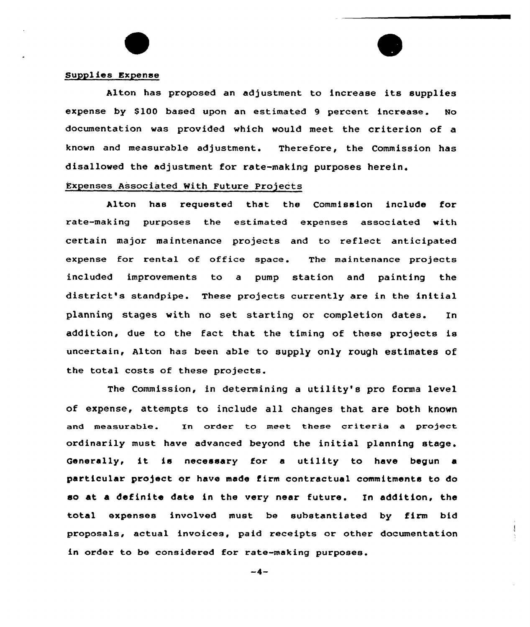### Supplies Expense

Alton has proposed an adjustment to increase its supplies expense by \$100 based upon an estimated 9 percent increase. No documentation was provided which would meet the criterion of a known and measurable adjustment. Therefore, the Commission has disallowed the adjustment for rate-making purposes herein.

# Expenses Associated With Future Projects

Alton has requested that the Commission include for rate-making purposes the estimated expenses associated with certain major maintenance projects and to reflect anticipated expense for rental of office space. The maintenance projects included improvements to a pump station and painting the district's standpipe. These projects currently are in the initial planning stages with no set starting or completion dates. In addition, due to the fact that the timing of these projects is uncertain, Alton has been able to supply only rough estimates of the total costs of these projects.

The Commission, in determining a utility's pro forma level of expense, attempts to include all changes that are both known and measurable. In order to meet these criteria a project ordinarily must have advanced beyond the initial planning stage. Generally, it is necessary for <sup>a</sup> utility to have begun <sup>a</sup> particular project or have made firm contractual commitments to do so at a definite date in the very near future. In addition, the total expenses involved must be substantiated by firm bid proposals, actual invoices, paid receipts or other documentation in order to be considered for rate-making purposes.

 $\overline{\mathcal{A}}$ 

 $-4-$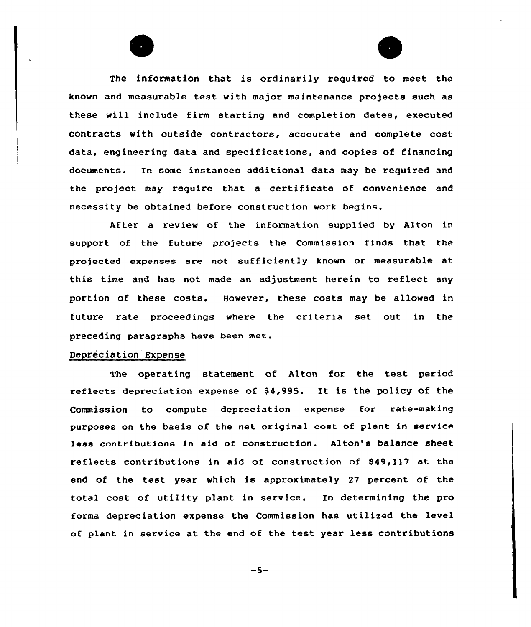The information that is ordinarily required to meet the known and measurable test with major maintenance projects such as these will include firm starting and completion dates, executed contracts with outside contractors, acccurate and complete cost data, engineering data and specifications, and copies of financing documents. In some instances additional data may be required and the project may require that a certificate of convenience and necessity be obtained before construction work begins.

After a review of the information supplied by Alton in support of the future projects the Commission finds that the projected expenses are not sufficiently known or measurable at this time and has not made an adjustment herein to reflect any portion of these costs. However, these costs may be allowed in future rate proceedings where the criteria set out in the preceding paragraphs have been met.

## Depreciation Expense

The operating statement of Alton for the test period reflects depreciation expense of  $$4,995$ . It is the policy of the Commission to compute depreciation expense for rate-making purposes on the basis of the net original cost of plant in service lees contributions in aid of construction. Alton's balance sheet reflects contributions in aid of construction of 849,117 at the end of the test year which is approximately 27 percent of the total cost of utility plant in service. In determining the pro forma depreciation expense the Commission has utilized the level of plant in service at the end of the test year less contributions

-5-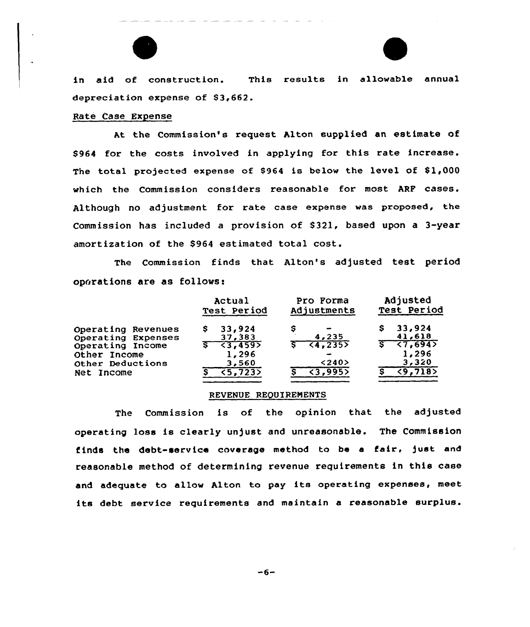



in aid of construction. This results in allowable annual depreciation expense of \$3,662.

# Rate Case Expense

At the Commission's request Alton supplied an estimate of \$964 for the costs involved in applying for this rate increase. The total projected expense of \$964 is below the level of \$1,000 which the Commission considers reasonable for most ARF cases. Although no adjustment for rate case expense was proposed, the Commission has included a provision of \$321, based upon a 3-year amortization of the \$964 estimated total cost.

The Commission finds that Alton's adjusted test period operations are as follows:

|                                                                                                                | Actual                                                                         | Pro Forma                                                                              | Adjusted                                                             |
|----------------------------------------------------------------------------------------------------------------|--------------------------------------------------------------------------------|----------------------------------------------------------------------------------------|----------------------------------------------------------------------|
|                                                                                                                | Test Period                                                                    | Adjustments                                                                            | Test Period                                                          |
| Operating Revenues<br>Operating Expenses<br>Operating Income<br>Other Income<br>Other Deductions<br>Net Income | 33,924<br>S.<br>37,383<br>$5 - 3,459$<br>1,296<br>3,560<br>$\overline{5,7235}$ | $\rightarrow$<br>4,235<br>$5 - 64, 2355$<br>$\overline{\phantom{a}}$<br>< 240<br>3,995 | 33,924<br>41,618<br>$5 - 57,694$<br>1,296<br>3,320<br>$\sqrt{9,718}$ |

#### REVENUE REQUIREMENTS

The Commission is of the opinion that the adjusted operating loss is clearly unjust and unreasonable. The Commission finds the debt-service coverage method to be a fair, just and reasonable method of determining revenue requirements in this case and adequate to allow Alton to pay its operating expenses, meet its debt service requirements and maintain a reasonable surplus.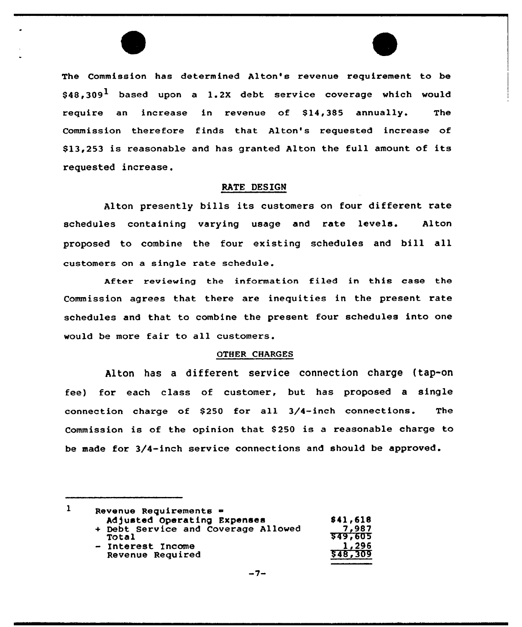

The Commission has determined Alton's revenue requirement to be  $$48.309<sup>1</sup>$  based upon a 1.2X debt service coverage which would require an increase in revenue of \$14,385 annually. The Commission therefore finds that Alton's requested increase of 813,253 is reasonable and has granted Alton the full amount of its requested increase.

# RATE DESIGN

Alton presently bills its customers on four different rate schedules containing varying usage and rate levels. Alton proposed to combine the four existing schedules and bill all customers on a single rate schedule.

After reviewing the information filed in this case the Commission agrees that there are inequities in the present rate schedules and that to combine the present four schedules into one would be more fair to all customers.

### QTHER CHARGES

Alton has a different service connection charge (tap-on fee) for each class of customer, but has proposed a single connection charge of \$250 for all 3/4-inch connections. The Commission is of the opinion that 8250 is <sup>a</sup> reasonable charge to be made for 3/4-inch service connections and should be approved.

| Revenue Requirements $=$            |          |  |
|-------------------------------------|----------|--|
| Adjusted Operating Expenses         | \$41,618 |  |
| + Debt Service and Coverage Allowed | 7.987    |  |
| Total                               | 549,605  |  |
| - Interest Income                   | 1,296    |  |
| Revenue Required                    | 548,309  |  |
|                                     |          |  |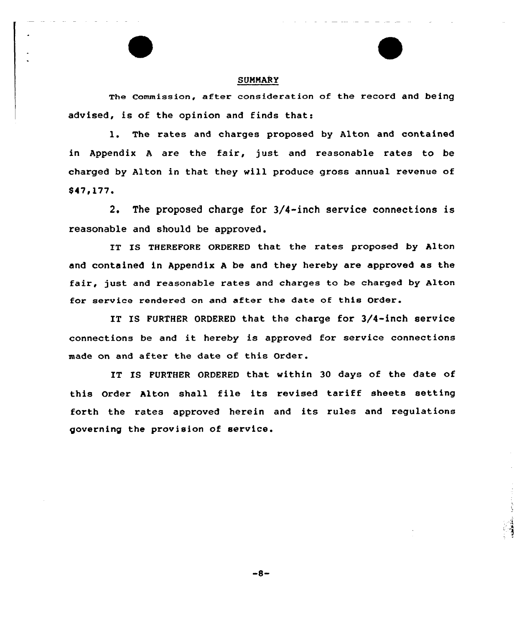

## SUMMARY

The Commission, after consideration of the record and being advised, is of the opinion and finds that:

l. The rates and charges proposed by Alton and contained in Appendix <sup>A</sup> are the fair, just and reasonable rates to be charged by Alton in that they vill produce gross annual revenue of  $$47,177.$ <br>2.

The proposed charge for 3/4-inch service connections is reasonable and should be approved.

IT IS THEREFORE ORDERED that the rates proposed by Alton and contained in Appendix <sup>A</sup> be and they hereby are approved as the fair, just and reasonable rates and charges to be charged by Alton for service rendered on and after the date of this Order.

IT IS FURTHER ORDERED that the charge for 3/4-inch service connections be and it hereby is approved for service connections made on and after the date of this Order.

IT IS FURTHER ORDERED that within 30 days of the date of this Order Alton shall file its revised tariff sheets setting forth the rates approved herein and its rules and regulations govexning the provision of service.

 $-8-$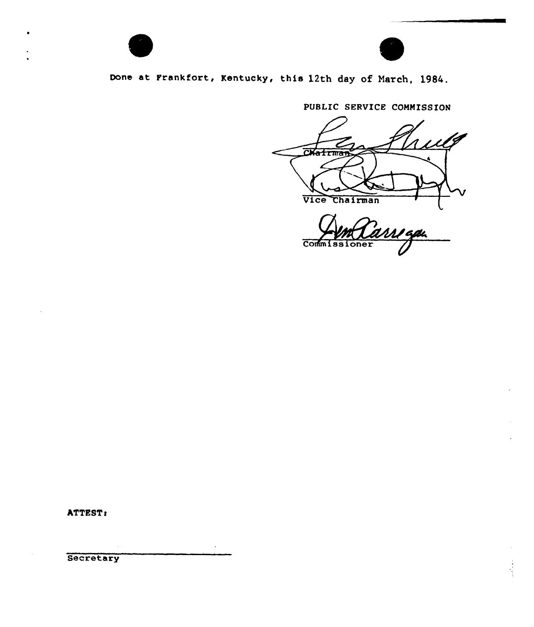

# Oone at Frankfort, Kentucky, this 12th day of March, 1984.

PUBLIC SERVICE COMMISSION  $\mu$ lg <u>កា</u> airma Vice Chairman

<u>Mga</u> **Commissioner** 

ATTEST:

**Secretary**